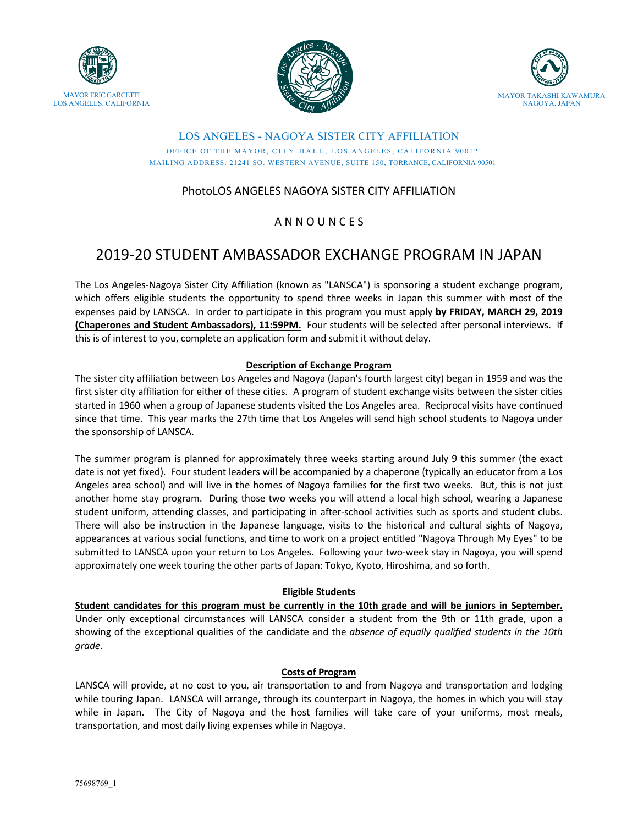





## LOS ANGELES - NAGOYA SISTER CITY AFFILIATION OFFICE OF THE MAYOR, CITY HALL, LOS ANGELES, CALIFORNIA 90012 MAILING ADDRESS: 21241 SO. WESTERN AVENUE, SUITE 150, TORRANCE, CALIFORNIA 90501

# PhotoLOS ANGELES NAGOYA SISTER CITY AFFILIATION

# A N N O U N C E S

# 2019-20 STUDENT AMBASSADOR EXCHANGE PROGRAM IN JAPAN

The Los Angeles-Nagoya Sister City Affiliation (known as "LANSCA") is sponsoring a student exchange program, which offers eligible students the opportunity to spend three weeks in Japan this summer with most of the expenses paid by LANSCA. In order to participate in this program you must apply by FRIDAY, MARCH 29, 2019 **(Chaperones and Student Ambassadors), 11:59PM.** Four students will be selected after personal interviews. If this is of interest to you, complete an application form and submit it without delay.

# **Description of Exchange Program**

The sister city affiliation between Los Angeles and Nagoya (Japan's fourth largest city) began in 1959 and was the first sister city affiliation for either of these cities. A program of student exchange visits between the sister cities started in 1960 when a group of Japanese students visited the Los Angeles area. Reciprocal visits have continued since that time. This year marks the 27th time that Los Angeles will send high school students to Nagoya under the sponsorship of LANSCA.

The summer program is planned for approximately three weeks starting around July 9 this summer (the exact date is not yet fixed). Four student leaders will be accompanied by a chaperone (typically an educator from a Los Angeles area school) and will live in the homes of Nagoya families for the first two weeks. But, this is not just another home stay program. During those two weeks you will attend a local high school, wearing a Japanese student uniform, attending classes, and participating in after-school activities such as sports and student clubs. There will also be instruction in the Japanese language, visits to the historical and cultural sights of Nagoya, appearances at various social functions, and time to work on a project entitled "Nagoya Through My Eyes" to be submitted to LANSCA upon your return to Los Angeles. Following your two-week stay in Nagoya, you will spend approximately one week touring the other parts of Japan: Tokyo, Kyoto, Hiroshima, and so forth.

# **Eligible Students**

Student candidates for this program must be currently in the 10th grade and will be juniors in September. Under only exceptional circumstances will LANSCA consider a student from the 9th or 11th grade, upon a showing of the exceptional qualities of the candidate and the *absence of equally qualified students in the 10th grade*.

# **Costs of Program**

LANSCA will provide, at no cost to you, air transportation to and from Nagoya and transportation and lodging while touring Japan. LANSCA will arrange, through its counterpart in Nagoya, the homes in which you will stay while in Japan. The City of Nagoya and the host families will take care of your uniforms, most meals, transportation, and most daily living expenses while in Nagoya.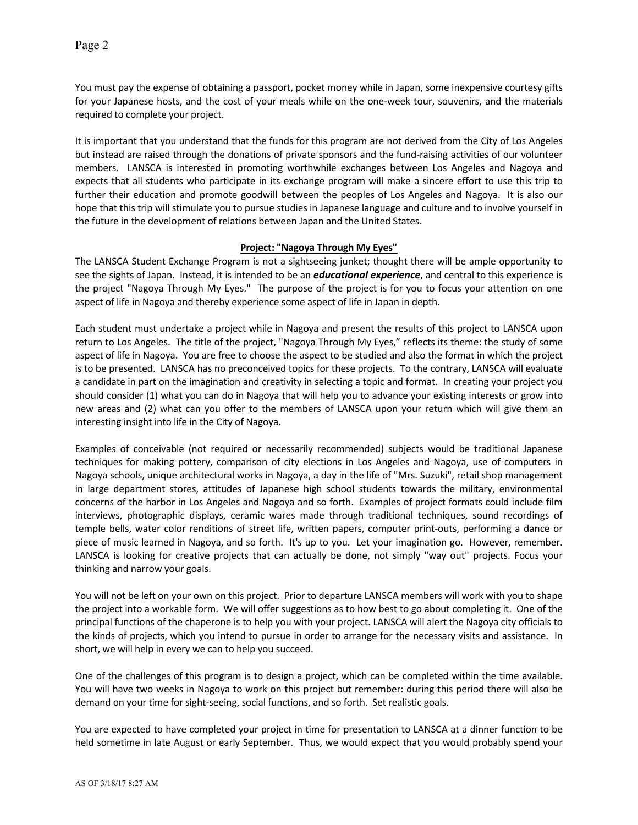Page 2

You must pay the expense of obtaining a passport, pocket money while in Japan, some inexpensive courtesy gifts for your Japanese hosts, and the cost of your meals while on the one-week tour, souvenirs, and the materials required to complete your project.

It is important that you understand that the funds for this program are not derived from the City of Los Angeles but instead are raised through the donations of private sponsors and the fund-raising activities of our volunteer members. LANSCA is interested in promoting worthwhile exchanges between Los Angeles and Nagoya and expects that all students who participate in its exchange program will make a sincere effort to use this trip to further their education and promote goodwill between the peoples of Los Angeles and Nagoya. It is also our hope that this trip will stimulate you to pursue studies in Japanese language and culture and to involve yourself in the future in the development of relations between Japan and the United States.

#### **Project: "Nagoya Through My Eyes"**

The LANSCA Student Exchange Program is not a sightseeing junket; thought there will be ample opportunity to see the sights of Japan. Instead, it is intended to be an *educational experience*, and central to this experience is the project "Nagoya Through My Eyes." The purpose of the project is for you to focus your attention on one aspect of life in Nagoya and thereby experience some aspect of life in Japan in depth.

Each student must undertake a project while in Nagoya and present the results of this project to LANSCA upon return to Los Angeles. The title of the project, "Nagoya Through My Eyes," reflects its theme: the study of some aspect of life in Nagoya. You are free to choose the aspect to be studied and also the format in which the project is to be presented. LANSCA has no preconceived topics for these projects. To the contrary, LANSCA will evaluate a candidate in part on the imagination and creativity in selecting a topic and format. In creating your project you should consider (1) what you can do in Nagoya that will help you to advance your existing interests or grow into new areas and (2) what can you offer to the members of LANSCA upon your return which will give them an interesting insight into life in the City of Nagoya.

Examples of conceivable (not required or necessarily recommended) subjects would be traditional Japanese techniques for making pottery, comparison of city elections in Los Angeles and Nagoya, use of computers in Nagoya schools, unique architectural works in Nagoya, a day in the life of "Mrs. Suzuki", retail shop management in large department stores, attitudes of Japanese high school students towards the military, environmental concerns of the harbor in Los Angeles and Nagoya and so forth. Examples of project formats could include film interviews, photographic displays, ceramic wares made through traditional techniques, sound recordings of temple bells, water color renditions of street life, written papers, computer print-outs, performing a dance or piece of music learned in Nagoya, and so forth. It's up to you. Let your imagination go. However, remember. LANSCA is looking for creative projects that can actually be done, not simply "way out" projects. Focus your thinking and narrow your goals.

You will not be left on your own on this project. Prior to departure LANSCA members will work with you to shape the project into a workable form. We will offer suggestions as to how best to go about completing it. One of the principal functions of the chaperone is to help you with your project. LANSCA will alert the Nagoya city officials to the kinds of projects, which you intend to pursue in order to arrange for the necessary visits and assistance. In short, we will help in every we can to help you succeed.

One of the challenges of this program is to design a project, which can be completed within the time available. You will have two weeks in Nagoya to work on this project but remember: during this period there will also be demand on your time for sight-seeing, social functions, and so forth. Set realistic goals.

You are expected to have completed your project in time for presentation to LANSCA at a dinner function to be held sometime in late August or early September. Thus, we would expect that you would probably spend your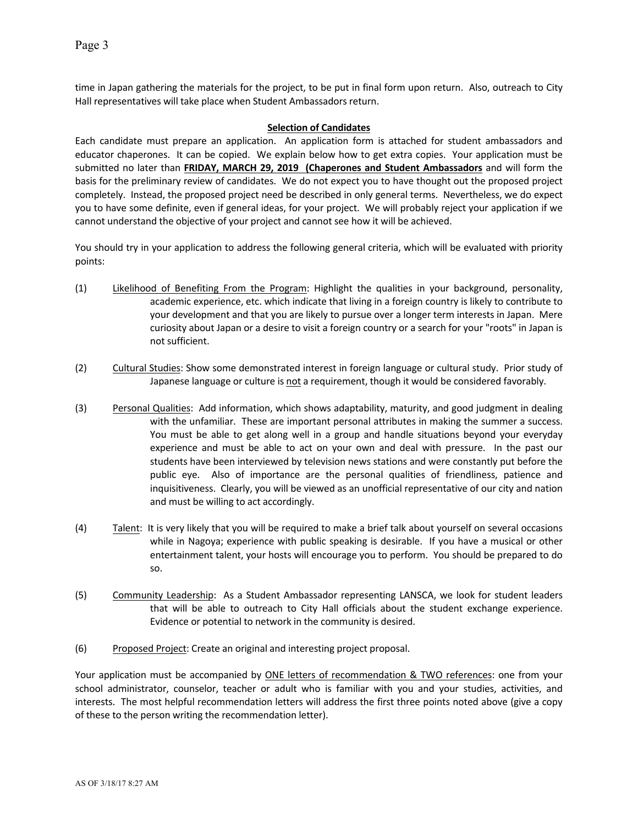time in Japan gathering the materials for the project, to be put in final form upon return. Also, outreach to City Hall representatives will take place when Student Ambassadors return.

### **Selection of Candidates**

Each candidate must prepare an application. An application form is attached for student ambassadors and educator chaperones. It can be copied. We explain below how to get extra copies. Your application must be submitted no later than FRIDAY, MARCH 29, 2019 (Chaperones and Student Ambassadors and will form the basis for the preliminary review of candidates. We do not expect you to have thought out the proposed project completely. Instead, the proposed project need be described in only general terms. Nevertheless, we do expect you to have some definite, even if general ideas, for your project. We will probably reject your application if we cannot understand the objective of your project and cannot see how it will be achieved.

You should try in your application to address the following general criteria, which will be evaluated with priority points:

- (1) Likelihood of Benefiting From the Program: Highlight the qualities in your background, personality, academic experience, etc. which indicate that living in a foreign country is likely to contribute to your development and that you are likely to pursue over a longer term interests in Japan. Mere curiosity about Japan or a desire to visit a foreign country or a search for your "roots" in Japan is not sufficient.
- (2) Cultural Studies: Show some demonstrated interest in foreign language or cultural study. Prior study of Japanese language or culture is not a requirement, though it would be considered favorably.
- (3) Personal Qualities: Add information, which shows adaptability, maturity, and good judgment in dealing with the unfamiliar. These are important personal attributes in making the summer a success. You must be able to get along well in a group and handle situations beyond your everyday experience and must be able to act on your own and deal with pressure. In the past our students have been interviewed by television news stations and were constantly put before the public eye. Also of importance are the personal qualities of friendliness, patience and inquisitiveness. Clearly, you will be viewed as an unofficial representative of our city and nation and must be willing to act accordingly.
- (4) Talent: It is very likely that you will be required to make a brief talk about yourself on several occasions while in Nagoya; experience with public speaking is desirable. If you have a musical or other entertainment talent, your hosts will encourage you to perform. You should be prepared to do so.
- (5) Community Leadership: As a Student Ambassador representing LANSCA, we look for student leaders that will be able to outreach to City Hall officials about the student exchange experience. Evidence or potential to network in the community is desired.
- (6) Proposed Project: Create an original and interesting project proposal.

Your application must be accompanied by ONE letters of recommendation & TWO references: one from your school administrator, counselor, teacher or adult who is familiar with you and your studies, activities, and interests. The most helpful recommendation letters will address the first three points noted above (give a copy of these to the person writing the recommendation letter).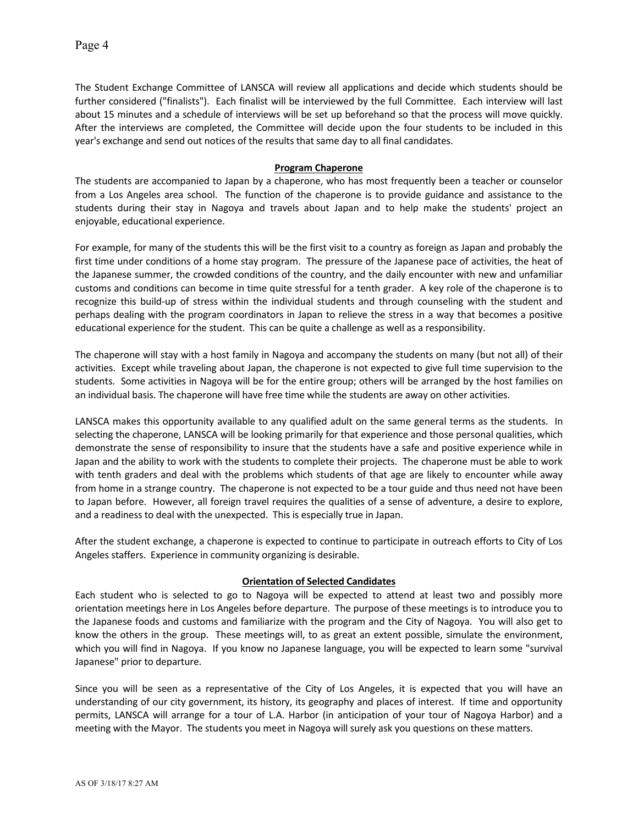The Student Exchange Committee of LANSCA will review all applications and decide which students should be further considered ("finalists"). Each finalist will be interviewed by the full Committee. Each interview will last about 15 minutes and a schedule of interviews will be set up beforehand so that the process will move quickly. After the interviews are completed, the Committee will decide upon the four students to be included in this year's exchange and send out notices of the results that same day to all final candidates.

#### **Program Chaperone**

The students are accompanied to Japan by a chaperone, who has most frequently been a teacher or counselor from a Los Angeles area school. The function of the chaperone is to provide guidance and assistance to the students during their stay in Nagoya and travels about Japan and to help make the students' project an enjoyable, educational experience.

For example, for many of the students this will be the first visit to a country as foreign as Japan and probably the first time under conditions of a home stay program. The pressure of the Japanese pace of activities, the heat of the Japanese summer, the crowded conditions of the country, and the daily encounter with new and unfamiliar customs and conditions can become in time quite stressful for a tenth grader. A key role of the chaperone is to recognize this build-up of stress within the individual students and through counseling with the student and perhaps dealing with the program coordinators in Japan to relieve the stress in a way that becomes a positive educational experience for the student. This can be quite a challenge as well as a responsibility.

The chaperone will stay with a host family in Nagoya and accompany the students on many (but not all) of their activities. Except while traveling about Japan, the chaperone is not expected to give full time supervision to the students. Some activities in Nagoya will be for the entire group; others will be arranged by the host families on an individual basis. The chaperone will have free time while the students are away on other activities.

LANSCA makes this opportunity available to any qualified adult on the same general terms as the students. In selecting the chaperone, LANSCA will be looking primarily for that experience and those personal qualities, which demonstrate the sense of responsibility to insure that the students have a safe and positive experience while in Japan and the ability to work with the students to complete their projects. The chaperone must be able to work with tenth graders and deal with the problems which students of that age are likely to encounter while away from home in a strange country. The chaperone is not expected to be a tour guide and thus need not have been to Japan before. However, all foreign travel requires the qualities of a sense of adventure, a desire to explore, and a readiness to deal with the unexpected. This is especially true in Japan.

After the student exchange, a chaperone is expected to continue to participate in outreach efforts to City of Los Angeles staffers. Experience in community organizing is desirable.

### **Orientation of Selected Candidates**

Each student who is selected to go to Nagoya will be expected to attend at least two and possibly more orientation meetings here in Los Angeles before departure. The purpose of these meetings is to introduce you to the Japanese foods and customs and familiarize with the program and the City of Nagoya. You will also get to know the others in the group. These meetings will, to as great an extent possible, simulate the environment, which you will find in Nagoya. If you know no Japanese language, you will be expected to learn some "survival Japanese" prior to departure.

Since you will be seen as a representative of the City of Los Angeles, it is expected that you will have an understanding of our city government, its history, its geography and places of interest. If time and opportunity permits, LANSCA will arrange for a tour of L.A. Harbor (in anticipation of your tour of Nagoya Harbor) and a meeting with the Mayor. The students you meet in Nagoya will surely ask you questions on these matters.